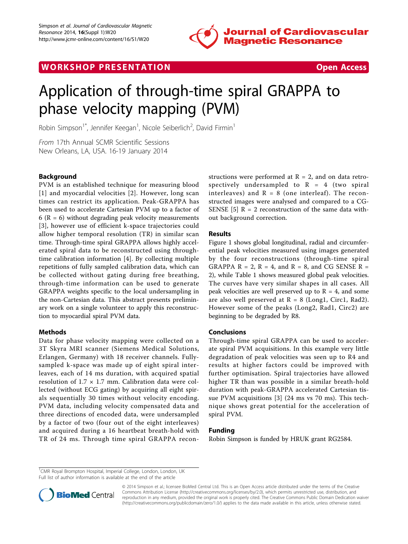

# WORK SHOP PRESENTATION AND RESENSIVE STATES Open Access



# Application of through-time spiral GRAPPA to phase velocity mapping (PVM)

Robin Simpson<sup>1\*</sup>, Jennifer Keegan<sup>1</sup>, Nicole Seiberlich<sup>2</sup>, David Firmin<sup>1</sup>

From 17th Annual SCMR Scientific Sessions New Orleans, LA, USA. 16-19 January 2014

# **Background**

PVM is an established technique for measuring blood [[1](#page-1-0)] and myocardial velocities [\[2](#page-1-0)]. However, long scan times can restrict its application. Peak-GRAPPA has been used to accelerate Cartesian PVM up to a factor of 6 ( $R = 6$ ) without degrading peak velocity measurements [[3](#page-1-0)], however use of efficient k-space trajectories could allow higher temporal resolution (TR) in similar scan time. Through-time spiral GRAPPA allows highly accelerated spiral data to be reconstructed using throughtime calibration information [[4\]](#page-1-0). By collecting multiple repetitions of fully sampled calibration data, which can be collected without gating during free breathing, through-time information can be used to generate GRAPPA weights specific to the local undersampling in the non-Cartesian data. This abstract presents preliminary work on a single volunteer to apply this reconstruction to myocardial spiral PVM data.

# Methods

Data for phase velocity mapping were collected on a 3T Skyra MRI scanner (Siemens Medical Solutions, Erlangen, Germany) with 18 receiver channels. Fullysampled k-space was made up of eight spiral interleaves, each of 14 ms duration, with acquired spatial resolution of  $1.7 \times 1.7$  mm. Calibration data were collected (without ECG gating) by acquiring all eight spirals sequentially 30 times without velocity encoding. PVM data, including velocity compensated data and three directions of encoded data, were undersampled by a factor of two (four out of the eight interleaves) and acquired during a 16 heartbeat breath-hold with TR of 24 ms. Through time spiral GRAPPA recon-

structions were performed at  $R = 2$ , and on data retrospectively undersampled to  $R = 4$  (two spiral interleaves) and  $R = 8$  (one interleaf). The reconstructed images were analysed and compared to a CG-SENSE [\[5](#page-1-0)]  $R = 2$  reconstruction of the same data without background correction.

# Results

Figure [1](#page-1-0) shows global longitudinal, radial and circumferential peak velocities measured using images generated by the four reconstructions (through-time spiral GRAPPA  $R = 2$ ,  $R = 4$ , and  $R = 8$ , and CG SENSE  $R =$ 2), while Table [1](#page-1-0) shows measured global peak velocities. The curves have very similar shapes in all cases. All peak velocities are well preserved up to  $R = 4$ , and some are also well preserved at  $R = 8$  (Long1, Circ1, Rad2). However some of the peaks (Long2, Rad1, Circ2) are beginning to be degraded by R8.

# Conclusions

Through-time spiral GRAPPA can be used to accelerate spiral PVM acquisitions. In this example very little degradation of peak velocities was seen up to R4 and results at higher factors could be improved with further optimisation. Spiral trajectories have allowed higher TR than was possible in a similar breath-hold duration with peak-GRAPPA accelerated Cartesian tissue PVM acquisitions [[3\]](#page-1-0) (24 ms vs 70 ms). This technique shows great potential for the acceleration of spiral PVM.

# Funding

Robin Simpson is funded by HRUK grant RG2584.

<sup>1</sup>CMR Royal Brompton Hospital, Imperial College, London, London, UK Full list of author information is available at the end of the article



© 2014 Simpson et al.; licensee BioMed Central Ltd. This is an Open Access article distributed under the terms of the Creative Commons Attribution License [\(http://creativecommons.org/licenses/by/2.0](http://creativecommons.org/licenses/by/2.0)), which permits unrestricted use, distribution, and reproduction in any medium, provided the original work is properly cited. The Creative Commons Public Domain Dedication waiver [\(http://creativecommons.org/publicdomain/zero/1.0/](http://creativecommons.org/publicdomain/zero/1.0/)) applies to the data made available in this article, unless otherwise stated.